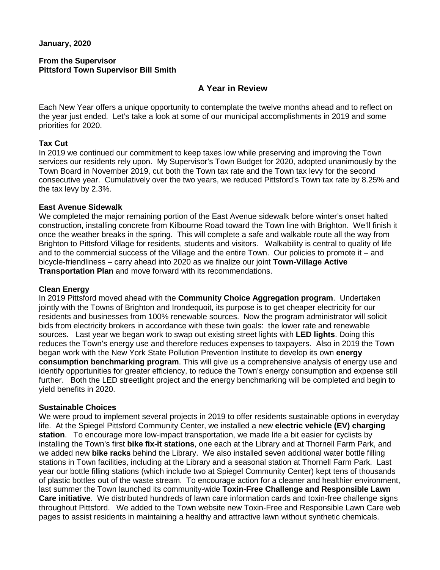### **From the Supervisor Pittsford Town Supervisor Bill Smith**

# **A Year in Review**

Each New Year offers a unique opportunity to contemplate the twelve months ahead and to reflect on the year just ended. Let's take a look at some of our municipal accomplishments in 2019 and some priorities for 2020.

# **Tax Cut**

In 2019 we continued our commitment to keep taxes low while preserving and improving the Town services our residents rely upon. My Supervisor's Town Budget for 2020, adopted unanimously by the Town Board in November 2019, cut both the Town tax rate and the Town tax levy for the second consecutive year. Cumulatively over the two years, we reduced Pittsford's Town tax rate by 8.25% and the tax levy by 2.3%.

## **East Avenue Sidewalk**

We completed the major remaining portion of the East Avenue sidewalk before winter's onset halted construction, installing concrete from Kilbourne Road toward the Town line with Brighton. We'll finish it once the weather breaks in the spring. This will complete a safe and walkable route all the way from Brighton to Pittsford Village for residents, students and visitors. Walkability is central to quality of life and to the commercial success of the Village and the entire Town. Our policies to promote it – and bicycle-friendliness – carry ahead into 2020 as we finalize our joint **Town-Village Active Transportation Plan** and move forward with its recommendations.

# **Clean Energy**

In 2019 Pittsford moved ahead with the **Community Choice Aggregation program**. Undertaken jointly with the Towns of Brighton and Irondequoit, its purpose is to get cheaper electricity for our residents and businesses from 100% renewable sources. Now the program administrator will solicit bids from electricity brokers in accordance with these twin goals: the lower rate and renewable sources. Last year we began work to swap out existing street lights with **LED lights**. Doing this reduces the Town's energy use and therefore reduces expenses to taxpayers. Also in 2019 the Town began work with the New York State Pollution Prevention Institute to develop its own **energy consumption benchmarking program**. This will give us a comprehensive analysis of energy use and identify opportunities for greater efficiency, to reduce the Town's energy consumption and expense still further. Both the LED streetlight project and the energy benchmarking will be completed and begin to yield benefits in 2020.

### **Sustainable Choices**

We were proud to implement several projects in 2019 to offer residents sustainable options in everyday life. At the Spiegel Pittsford Community Center, we installed a new **electric vehicle (EV) charging station**. To encourage more low-impact transportation, we made life a bit easier for cyclists by installing the Town's first **bike fix-it stations**, one each at the Library and at Thornell Farm Park, and we added new **bike racks** behind the Library. We also installed seven additional water bottle filling stations in Town facilities, including at the Library and a seasonal station at Thornell Farm Park. Last year our bottle filling stations (which include two at Spiegel Community Center) kept tens of thousands of plastic bottles out of the waste stream. To encourage action for a cleaner and healthier environment, last summer the Town launched its community-wide **Toxin-Free Challenge and Responsible Lawn Care initiative**. We distributed hundreds of lawn care information cards and toxin-free challenge signs throughout Pittsford. We added to the Town website new Toxin-Free and Responsible Lawn Care web pages to assist residents in maintaining a healthy and attractive lawn without synthetic chemicals.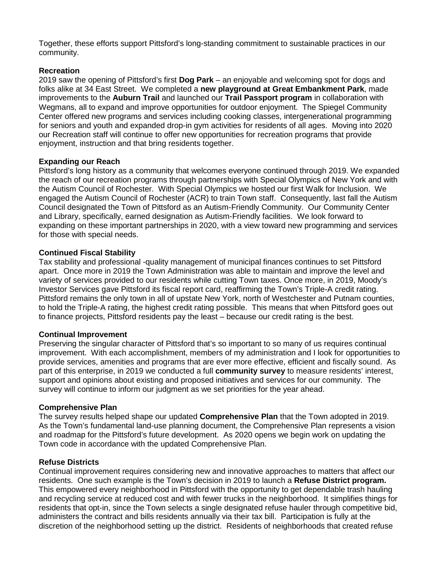Together, these efforts support Pittsford's long-standing commitment to sustainable practices in our community.

# **Recreation**

2019 saw the opening of Pittsford's first **Dog Park** – an enjoyable and welcoming spot for dogs and folks alike at 34 East Street. We completed a **new playground at Great Embankment Park**, made improvements to the **Auburn Trail** and launched our **Trail Passport program** in collaboration with Wegmans, all to expand and improve opportunities for outdoor enjoyment. The Spiegel Community Center offered new programs and services including cooking classes, intergenerational programming for seniors and youth and expanded drop-in gym activities for residents of all ages. Moving into 2020 our Recreation staff will continue to offer new opportunities for recreation programs that provide enjoyment, instruction and that bring residents together.

# **Expanding our Reach**

Pittsford's long history as a community that welcomes everyone continued through 2019. We expanded the reach of our recreation programs through partnerships with Special Olympics of New York and with the Autism Council of Rochester. With Special Olympics we hosted our first Walk for Inclusion. We engaged the Autism Council of Rochester (ACR) to train Town staff. Consequently, last fall the Autism Council designated the Town of Pittsford as an Autism-Friendly Community. Our Community Center and Library, specifically, earned designation as Autism-Friendly facilities. We look forward to expanding on these important partnerships in 2020, with a view toward new programming and services for those with special needs.

## **Continued Fiscal Stability**

Tax stability and professional -quality management of municipal finances continues to set Pittsford apart. Once more in 2019 the Town Administration was able to maintain and improve the level and variety of services provided to our residents while cutting Town taxes. Once more, in 2019, Moody's Investor Services gave Pittsford its fiscal report card, reaffirming the Town's Triple-A credit rating. Pittsford remains the only town in all of upstate New York, north of Westchester and Putnam counties, to hold the Triple-A rating, the highest credit rating possible. This means that when Pittsford goes out to finance projects, Pittsford residents pay the least – because our credit rating is the best.

### **Continual Improvement**

Preserving the singular character of Pittsford that's so important to so many of us requires continual improvement. With each accomplishment, members of my administration and I look for opportunities to provide services, amenities and programs that are ever more effective, efficient and fiscally sound. As part of this enterprise, in 2019 we conducted a full **community survey** to measure residents' interest, support and opinions about existing and proposed initiatives and services for our community. The survey will continue to inform our judgment as we set priorities for the year ahead.

### **Comprehensive Plan**

The survey results helped shape our updated **Comprehensive Plan** that the Town adopted in 2019. As the Town's fundamental land-use planning document, the Comprehensive Plan represents a vision and roadmap for the Pittsford's future development. As 2020 opens we begin work on updating the Town code in accordance with the updated Comprehensive Plan.

### **Refuse Districts**

Continual improvement requires considering new and innovative approaches to matters that affect our residents. One such example is the Town's decision in 2019 to launch a **Refuse District program.**  This empowered every neighborhood in Pittsford with the opportunity to get dependable trash hauling and recycling service at reduced cost and with fewer trucks in the neighborhood. It simplifies things for residents that opt-in, since the Town selects a single designated refuse hauler through competitive bid, administers the contract and bills residents annually via their tax bill. Participation is fully at the discretion of the neighborhood setting up the district. Residents of neighborhoods that created refuse